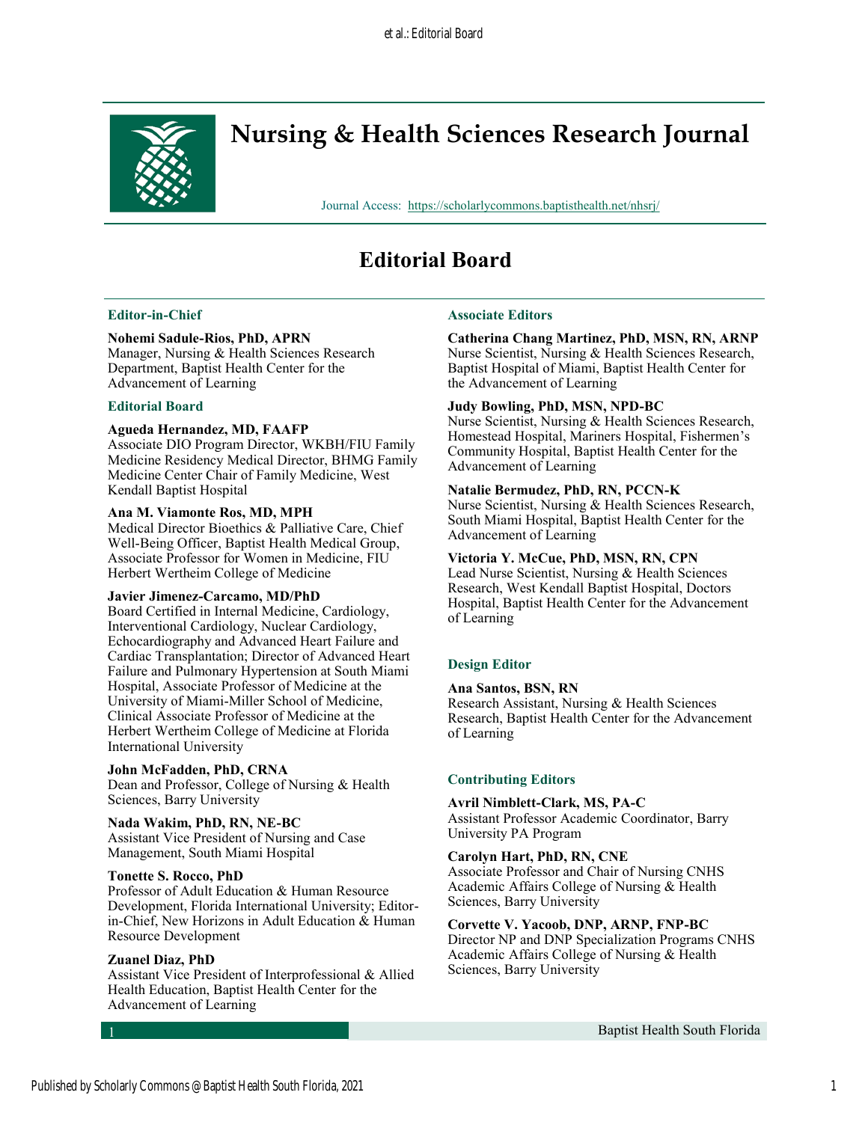

# **Nursing & Health Sciences Research Journal**

Journal Access: <https://scholarlycommons.baptisthealth.net/nhsrj/>

## **Editorial Board**

## **Editor-in-Chief**

## **Nohemi Sadule-Rios, PhD, APRN**

Manager, Nursing & Health Sciences Research Department, Baptist Health Center for the Advancement of Learning

#### **Editorial Board**

#### **Agueda Hernandez, MD, FAAFP**

Associate DIO Program Director, WKBH/FIU Family Medicine Residency Medical Director, BHMG Family Medicine Center Chair of Family Medicine, West Kendall Baptist Hospital

#### **Ana M. Viamonte Ros, MD, MPH**

Medical Director Bioethics & Palliative Care, Chief Well-Being Officer, Baptist Health Medical Group, Associate Professor for Women in Medicine, FIU Herbert Wertheim College of Medicine

#### **Javier Jimenez-Carcamo, MD/PhD**

Board Certified in Internal Medicine, Cardiology, Interventional Cardiology, Nuclear Cardiology, Echocardiography and Advanced Heart Failure and Cardiac Transplantation; Director of Advanced Heart Failure and Pulmonary Hypertension at South Miami Hospital, Associate Professor of Medicine at the University of Miami-Miller School of Medicine, Clinical Associate Professor of Medicine at the Herbert Wertheim College of Medicine at Florida International University

#### **John McFadden, PhD, CRNA**

Dean and Professor, College of Nursing & Health Sciences, Barry University

#### **Nada Wakim, PhD, RN, NE-BC**

Assistant Vice President of Nursing and Case Management, South Miami Hospital

#### **Tonette S. Rocco, PhD**

Professor of Adult Education & Human Resource Development, Florida International University; Editorin-Chief, New Horizons in Adult Education & Human Resource Development

#### **Zuanel Diaz, PhD**

Assistant Vice President of Interprofessional & Allied Health Education, Baptist Health Center for the Advancement of Learning

#### **Associate Editors**

**Catherina Chang Martinez, PhD, MSN, RN, ARNP**  Nurse Scientist, Nursing & Health Sciences Research, Baptist Hospital of Miami, Baptist Health Center for the Advancement of Learning

#### **Judy Bowling, PhD, MSN, NPD-BC**

Nurse Scientist, Nursing & Health Sciences Research, Homestead Hospital, Mariners Hospital, Fishermen's Community Hospital, Baptist Health Center for the Advancement of Learning

#### **Natalie Bermudez, PhD, RN, PCCN-K**

Nurse Scientist, Nursing & Health Sciences Research, South Miami Hospital, Baptist Health Center for the Advancement of Learning

#### **Victoria Y. McCue, PhD, MSN, RN, CPN**

Lead Nurse Scientist, Nursing & Health Sciences Research, West Kendall Baptist Hospital, Doctors Hospital, Baptist Health Center for the Advancement of Learning

## **Design Editor**

#### **Ana Santos, BSN, RN**

Research Assistant, Nursing & Health Sciences Research, Baptist Health Center for the Advancement of Learning

## **Contributing Editors**

#### **Avril Nimblett-Clark, MS, PA-C**

Assistant Professor Academic Coordinator, Barry University PA Program

#### **Carolyn Hart, PhD, RN, CNE**

Associate Professor and Chair of Nursing CNHS Academic Affairs College of Nursing & Health Sciences, Barry University

#### **Corvette V. Yacoob, DNP, ARNP, FNP-BC**

Director NP and DNP Specialization Programs CNHS Academic Affairs College of Nursing & Health Sciences, Barry University